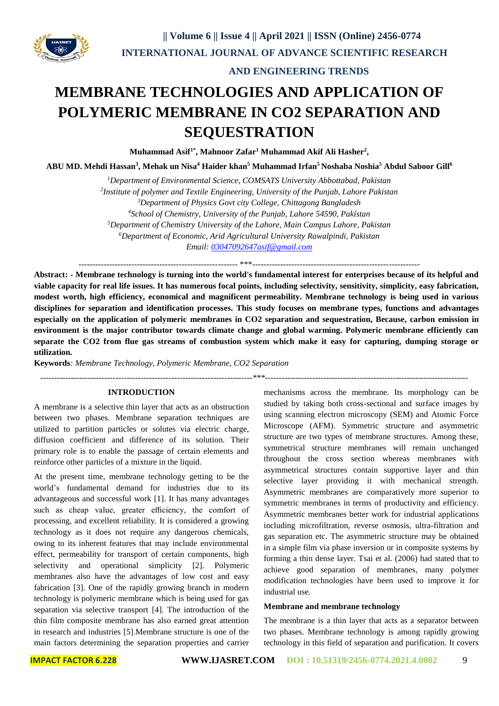

**utilization.**

 **AND ENGINEERING TRENDS** 

# **MEMBRANE TECHNOLOGIES AND APPLICATION OF POLYMERIC MEMBRANE IN CO2 SEPARATION AND SEQUESTRATION**

**Muhammad Asif1\*, Mahnoor Zafar<sup>1</sup> Muhammad Akif Ali Hasher<sup>2</sup> ,** 

**ABU MD. Mehdi Hassan<sup>3</sup> , Mehak un Nisa<sup>4</sup> Haider khan<sup>5</sup> Muhammad Irfan<sup>5</sup>Noshaba Noshia<sup>5</sup> Abdul Saboor Gill<sup>6</sup>**

*Department of Environmental Science, COMSATS University Abbottabad, Pakistan Institute of polymer and Textile Engineering, University of the Punjab, Lahore Pakistan Department of Physics Govt city College, Chittagong Bangladesh School of Chemistry, University of the Punjab, Lahore 54590, Pakistan Department of Chemistry University of the Lahore, Main Campus Lahore, Pakistan Department of Economic, Arid Agricultural University Rawalpindi, Pakistan Email: [03047092647asif@gmail.com](mailto:03047092647asif@gmail.com)*

--------------------------------------------------------- \*\*\*------------------------------------------------------------

**Abstract: - Membrane technology is turning into the world's fundamental interest for enterprises because of its helpful and viable capacity for real life issues. It has numerous focal points, including selectivity, sensitivity, simplicity, easy fabrication, modest worth, high efficiency, economical and magnificent permeability. Membrane technology is being used in various disciplines for separation and identification processes. This study focuses on membrane types, functions and advantages especially on the application of polymeric membranes in CO2 separation and sequestration, Because, carbon emission in environment is the major contributor towards climate change and global warming. Polymeric membrane efficiently can separate the CO2 from flue gas streams of combustion system which make it easy for capturing, dumping storage or** 

**Keywords***: Membrane Technology, Polymeric Membrane, CO2 Separation* 

*----------------------------------------------------------------------------\*\*\*-------------------------------------------------------------------------*

#### **INTRODUCTION**

A membrane is a selective thin layer that acts as an obstruction between two phases. Membrane separation techniques are utilized to partition particles or solutes via electric charge, diffusion coefficient and difference of its solution. Their primary role is to enable the passage of certain elements and reinforce other particles of a mixture in the liquid.

At the present time, membrane technology getting to be the world's fundamental demand for industries due to its advantageous and successful work [1]. It has many advantages such as cheap value, greater efficiency, the comfort of processing, and excellent reliability. It is considered a growing technology as it does not require any dangerous chemicals, owing to its inherent features that may include environmental effect, permeability for transport of certain components, high selectivity and operational simplicity [2]. Polymeric membranes also have the advantages of low cost and easy fabrication [3]. One of the rapidly growing branch in modern technology is polymeric membrane which is being used for gas separation via selective transport [4]. The introduction of the thin film composite membrane has also earned great attention in research and industries [5].Membrane structure is one of the main factors determining the separation properties and carrier

mechanisms across the membrane. Its morphology can be studied by taking both cross-sectional and surface images by using scanning electron microscopy (SEM) and Atomic Force Microscope (AFM). Symmetric structure and asymmetric structure are two types of membrane structures. Among these, symmetrical structure membranes will remain unchanged throughout the cross section whereas membranes with asymmetrical structures contain supportive layer and thin selective layer providing it with mechanical strength. Asymmetric membranes are comparatively more superior to symmetric membranes in terms of productivity and efficiency. Asymmetric membranes better work for industrial applications including microfiltration, reverse osmosis, ultra-filtration and gas separation etc. The asymmetric structure may be obtained in a simple film via phase inversion or in composite systems by forming a thin dense layer. Tsai et al. (2006) had stated that to achieve good separation of membranes, many polymer modification technologies have been used to improve it for industrial use.

#### **Membrane and membrane technology**

The membrane is a thin layer that acts as a separator between two phases. Membrane technology is among rapidly growing technology in this field of separation and purification. It covers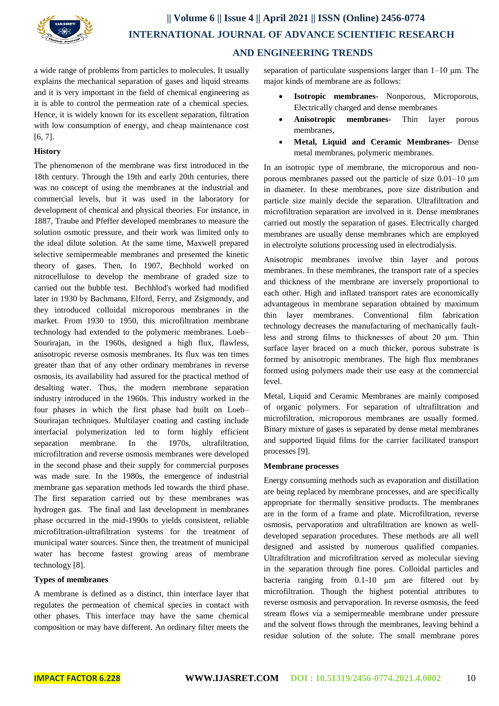

# **|| Volume 6 || Issue 4 || April 2021 || ISSN (Online) 2456-0774 INTERNATIONAL JOURNAL OF ADVANCE SCIENTIFIC RESEARCH AND ENGINEERING TRENDS**

a wide range of problems from particles to molecules. It usually explains the mechanical separation of gases and liquid streams and it is very important in the field of chemical engineering as it is able to control the permeation rate of a chemical species. Hence, it is widely known for its excellent separation, filtration with low consumption of energy, and cheap maintenance cost [6, 7].

# **History**

The phenomenon of the membrane was first introduced in the 18th century. Through the 19th and early 20th centuries, there was no concept of using the membranes at the industrial and commercial levels, but it was used in the laboratory for development of chemical and physical theories. For instance, in 1887, Traube and Pfeffer developed membranes to measure the solution osmotic pressure, and their work was limited only to the ideal dilute solution. At the same time, Maxwell prepared selective semipermeable membranes and presented the kinetic theory of gases. Then, In 1907, Bechhold worked on nitrocellulose to develop the membrane of graded size to carried out the bubble test. Bechhlod's worked had modified later in 1930 by Bachmann, Elford, Ferry, and Zsigmondy, and they introduced colloidal microporous membranes in the market. From 1930 to 1950, this microfiltration membrane technology had extended to the polymeric membranes. Loeb– Sourirajan, in the 1960s, designed a high flux, flawless, anisotropic reverse osmosis membranes. Its flux was ten times greater than that of any other ordinary membranes in reverse osmosis, its availability had assured for the practical method of desalting water. Thus, the modern membrane separation industry introduced in the 1960s. This industry worked in the four phases in which the first phase had built on Loeb– Sourirajan techniques. Multilayer coating and casting include interfacial polymerization led to form highly efficient separation membrane. In the 1970s, ultrafiltration, microfiltration and reverse osmosis membranes were developed in the second phase and their supply for commercial purposes was made sure. In the 1980s, the emergence of industrial membrane gas separation methods led towards the third phase. The first separation carried out by these membranes was hydrogen gas. The final and last development in membranes phase occurred in the mid-1990s to yields consistent, reliable microfiltration-ultrafiltration systems for the treatment of municipal water sources. Since then, the treatment of municipal water has become fastest growing areas of membrane technology [8].

## **Types of membranes**

A membrane is defined as a distinct, thin interface layer that regulates the permeation of chemical species in contact with other phases. This interface may have the same chemical composition or may have different. An ordinary filter meets the separation of particulate suspensions larger than 1–10 μm. The major kinds of membrane are as follows:

- **Isotropic membranes-** Nonporous, Microporous, Electrically charged and dense membranes
- **Anisotropic membranes-** Thin layer porous membranes,
- **Metal, Liquid and Ceramic Membranes-** Dense metal membranes, polymeric membranes.

In an isotropic type of membrane, the microporous and nonporous membranes passed out the particle of size 0.01–10 μm in diameter. In these membranes, pore size distribution and particle size mainly decide the separation. Ultrafiltration and microfiltration separation are involved in it. Dense membranes carried out mostly the separation of gases. Electrically charged membranes are usually dense membranes which are employed in electrolyte solutions processing used in electrodialysis.

Anisotropic membranes involve thin layer and porous membranes. In these membranes, the transport rate of a species and thickness of the membrane are inversely proportional to each other. High and inflated transport rates are economically advantageous in membrane separation obtained by maximum thin layer membranes. Conventional film fabrication technology decreases the manufacturing of mechanically faultless and strong films to thicknesses of about 20 μm. Thin surface layer braced on a much thicker, porous substrate is formed by anisotropic membranes. The high flux membranes formed using polymers made their use easy at the commercial level.

Metal, Liquid and Ceramic Membranes are mainly composed of organic polymers. For separation of ultrafiltration and microfiltration, microporous membranes are usually formed. Binary mixture of gases is separated by dense metal membranes and supported liquid films for the carrier facilitated transport processes [9].

## **Membrane processes**

Energy consuming methods such as evaporation and distillation are being replaced by membrane processes, and are specifically appropriate for thermally sensitive products. The membranes are in the form of a frame and plate. Microfiltration, reverse osmosis, pervaporation and ultrafiltration are known as welldeveloped separation procedures. These methods are all well designed and assisted by numerous qualified companies. Ultrafiltration and microfiltration served as molecular sieving in the separation through fine pores. Colloidal particles and bacteria ranging from 0.1-10 μm are filtered out by microfiltration. Though the highest potential attributes to reverse osmosis and pervaporation. In reverse osmosis, the feed stream flows via a semipermeable membrane under pressure and the solvent flows through the membranes, leaving behind a residue solution of the solute. The small membrane pores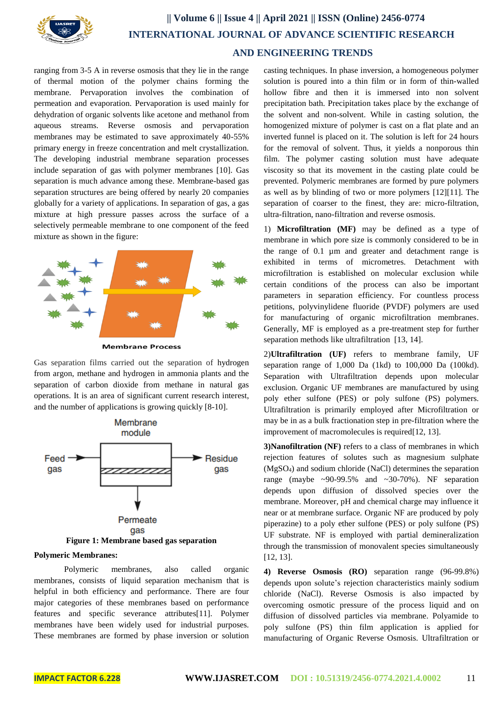

# **|| Volume 6 || Issue 4 || April 2021 || ISSN (Online) 2456-0774 INTERNATIONAL JOURNAL OF ADVANCE SCIENTIFIC RESEARCH AND ENGINEERING TRENDS**

ranging from 3-5 A in reverse osmosis that they lie in the range of thermal motion of the polymer chains forming the membrane. Pervaporation involves the combination of permeation and evaporation. Pervaporation is used mainly for dehydration of [organic solvents](https://www.sciencedirect.com/topics/earth-and-planetary-sciences/organic-solvent) like [acetone](https://www.sciencedirect.com/topics/engineering/acetone) and methanol from aqueous streams. Reverse osmosis and pervaporation membranes may be estimated to save approximately 40-55% primary energy in freeze concentration and melt crystallization. The developing industrial membrane separation processes include separation of gas with polymer membranes [10]. Gas separation is much advance among these. Membrane-based gas separation structures are being offered by nearly 20 companies globally for a variety of applications. In separation of gas, a gas mixture at high pressure passes across the surface of a selectively permeable membrane to one component of the feed mixture as shown in the figure:



**Membrane Process** 

Gas separation films carried out the separation of hydrogen from argon, methane and hydrogen in ammonia plants and the separation of carbon dioxide from methane in natural gas operations. It is an area of significant current research interest, and the number of applications is growing quickly [8-10].



#### **Polymeric Membranes:**

Polymeric membranes, also called organic membranes, consists of liquid separation mechanism that is helpful in both efficiency and performance. There are four major categories of these membranes based on performance features and specific severance attributes[11]. Polymer membranes have been widely used for industrial purposes. These membranes are formed by phase inversion or solution

casting techniques. In phase inversion, a homogeneous polymer solution is poured into a thin film or in form of thin-walled hollow fibre and then it is immersed into non solvent precipitation bath. Precipitation takes place by the exchange of the solvent and non-solvent. While in casting solution, the homogenized mixture of polymer is cast on a flat plate and an inverted funnel is placed on it. The solution is left for 24 hours for the removal of solvent. Thus, it yields a nonporous thin film. The polymer casting solution must have adequate viscosity so that its movement in the casting plate could be prevented. Polymeric membranes are formed by pure polymers as well as by blinding of two or more polymers [12][11]. The separation of coarser to the finest, they are: micro-filtration, ultra-filtration, nano-filtration and reverse osmosis.

1) **Microfiltration (MF)** may be defined as a type of membrane in which pore size is commonly considered to be in the range of 0.1 µm and greater and detachment range is exhibited in terms of micrometres. Detachment with microfiltration is established on molecular exclusion while certain conditions of the process can also be important parameters in separation efficiency. For countless process petitions, polyvinylidene fluoride (PVDF) polymers are used for manufacturing of organic microfiltration membranes. Generally, MF is employed as a pre-treatment step for further separation methods like ultrafiltration [13, 14].

2)**Ultrafiltration (UF)** refers to membrane family, UF separation range of 1,000 Da (1kd) to 100,000 Da (100kd). Separation with Ultrafiltration depends upon molecular exclusion. Organic UF membranes are manufactured by using poly ether sulfone (PES) or poly sulfone (PS) polymers. Ultrafiltration is primarily employed after Microfiltration or may be in as a bulk fractionation step in pre-filtration where the improvement of macromolecules is required[12, 13].

**3)Nanofiltration (NF)** refers to a class of membranes in which rejection features of solutes such as magnesium sulphate (MgSO4) and sodium chloride (NaCl) determines the separation range (maybe  $\sim$ 90-99.5% and  $\sim$ 30-70%). NF separation depends upon diffusion of dissolved species over the membrane. Moreover, pH and chemical charge may influence it near or at membrane surface. Organic NF are produced by poly piperazine) to a poly ether sulfone (PES) or poly sulfone (PS) UF substrate. NF is employed with partial demineralization through the transmission of monovalent species simultaneously [12, 13].

**4) Reverse Osmosis (RO)** separation range (96-99.8%) depends upon solute's rejection characteristics mainly sodium chloride (NaCl). Reverse Osmosis is also impacted by overcoming osmotic pressure of the process liquid and on diffusion of dissolved particles via membrane. Polyamide to poly sulfone (PS) thin film application is applied for manufacturing of Organic Reverse Osmosis. Ultrafiltration or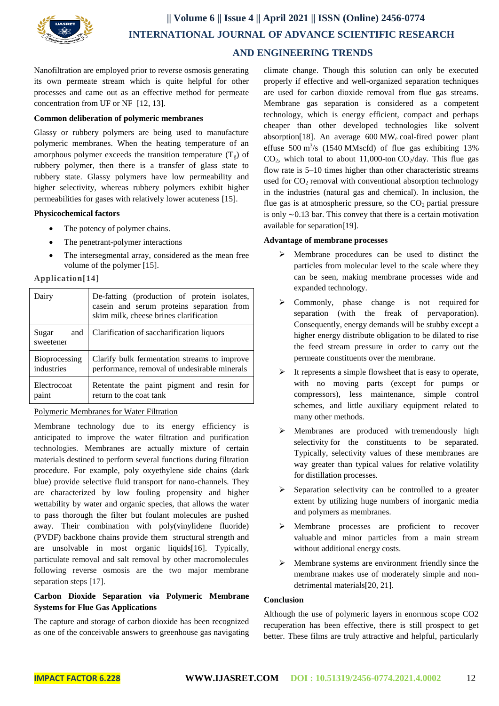

Nanofiltration are employed prior to reverse osmosis generating its own permeate stream which is quite helpful for other processes and came out as an effective method for permeate concentration from UF or NF [12, 13].

#### **Common deliberation of polymeric membranes**

Glassy or rubbery polymers are being used to manufacture polymeric membranes. When the heating temperature of an amorphous polymer exceeds the transition temperature  $(T_g)$  of rubbery polymer, then there is a transfer of glass state to rubbery state. Glassy polymers have low permeability and higher selectivity, whereas rubbery polymers exhibit higher permeabilities for gases with relatively lower acuteness [15].

#### **Physicochemical factors**

- The potency of polymer chains.
- The penetrant-polymer interactions
- The intersegmental array, considered as the mean free volume of the polymer [15].

**Application[14]**

| Dairy                     | De-fatting (production of protein isolates,<br>casein and serum proteins separation from<br>skim milk, cheese brines clarification |
|---------------------------|------------------------------------------------------------------------------------------------------------------------------------|
| Sugar<br>and<br>sweetener | Clarification of saccharification liquors                                                                                          |
| Bioprocessing             | Clarify bulk fermentation streams to improve                                                                                       |
| industries                | performance, removal of undesirable minerals                                                                                       |
| Electrocoat               | Retentate the paint pigment and resin for                                                                                          |
| paint                     | return to the coat tank                                                                                                            |

## Polymeric [Membranes for Water Filtration](https://www.nap.edu/read/18734/chapter/2#t5)

Membrane technology due to its energy efficiency is anticipated to improve the water filtration and purification technologies. Membranes are actually mixture of certain materials destined to perform several functions during filtration procedure. For example, poly oxyethylene side chains (dark blue) provide selective fluid transport for nano-channels. They are characterized by low fouling propensity and higher wettability by water and organic species, that allows the water to pass thorough the filter but foulant molecules are pushed away. Their combination with poly(vinylidene fluoride) (PVDF) backbone chains provide them structural strength and are unsolvable in most organic liquids[16]. Typically, particulate removal and salt removal by other macromolecules following reverse osmosis are the two major membrane separation steps [17].

# **Carbon Dioxide Separation via Polymeric Membrane Systems for Flue Gas Applications**

The capture and storage of carbon dioxide has been recognized as one of the conceivable answers to greenhouse gas navigating climate change. Though this solution can only be executed properly if effective and well-organized separation techniques are used for carbon dioxide removal from flue gas streams. Membrane gas separation is considered as a competent technology, which is energy efficient, compact and perhaps cheaper than other developed technologies like solvent absorption[18]. An average  $600 \text{ MW}_e$  coal-fired power plant effuse  $500 \text{ m}^3\text{/s}$  (1540 MMscfd) of flue gas exhibiting 13%  $CO<sub>2</sub>$ , which total to about 11,000-ton  $CO<sub>2</sub>/day$ . This flue gas flow rate is 5–10 times higher than other characteristic streams used for  $CO<sub>2</sub>$  removal with conventional absorption technology in the industries (natural gas and chemical). In inclusion, the flue gas is at atmospheric pressure, so the  $CO<sub>2</sub>$  partial pressure is only ∼0.13 bar. This convey that there is a certain motivation available for separation[19].

## **Advantage of membrane processes**

- $\triangleright$  Membrane procedures can be used to distinct the particles from molecular level to the scale where they can be seen, making membrane processes wide and expanded technology.
- > Commonly, phase change is not required for separation (with the freak of pervaporation). Consequently, energy demands will be stubby except a higher energy distribute obligation to be dilated to rise the feed stream pressure in order to carry out the permeate constituents over the membrane.
- $\triangleright$  It represents a simple flowsheet that is easy to operate, with no moving parts (except for pumps or compressors), less maintenance, simple control schemes, and little auxiliary equipment related to many other methods.
- $\triangleright$  Membranes are produced with tremendously high selectivity for the constituents to be separated. Typically, selectivity values of these membranes are way greater than typical values for relative volatility for distillation processes.
- $\triangleright$  Separation selectivity can be controlled to a greater extent by utilizing huge numbers of inorganic media and polymers as membranes.
- Membrane processes are proficient to recover valuable and minor particles from a main stream without additional energy costs.
- $\triangleright$  Membrane systems are environment friendly since the membrane makes use of moderately simple and nondetrimental materials[20, 21].

# **Conclusion**

Although the use of polymeric layers in enormous scope CO2 recuperation has been effective, there is still prospect to get better. These films are truly attractive and helpful, particularly